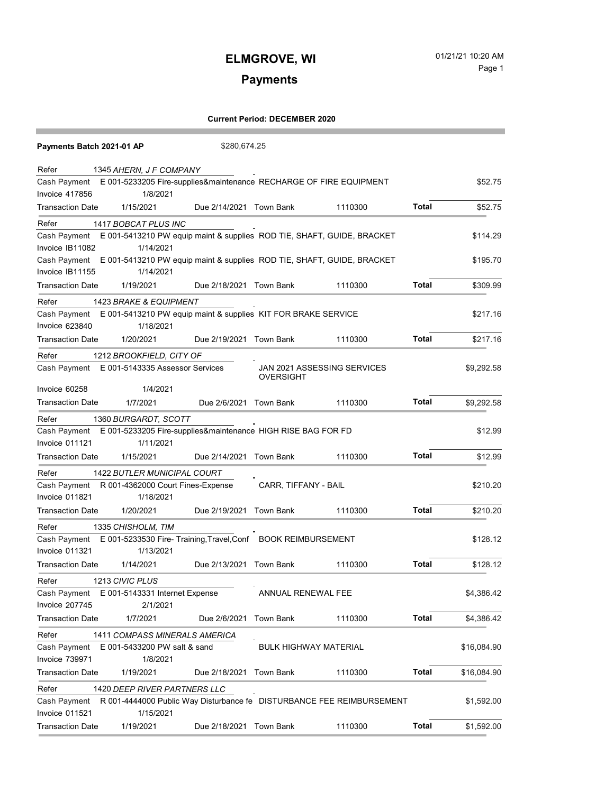# **Payments**

| Payments Batch 2021-01 AP      |                                     | \$280,674.25            |                                                                        |         |              |             |
|--------------------------------|-------------------------------------|-------------------------|------------------------------------------------------------------------|---------|--------------|-------------|
| Refer                          | 1345 AHERN, J F COMPANY             |                         |                                                                        |         |              |             |
| Cash Payment<br>Invoice 417856 | 1/8/2021                            |                         | E 001-5233205 Fire-supplies&maintenance RECHARGE OF FIRE EQUIPMENT     |         |              | \$52.75     |
| <b>Transaction Date</b>        | 1/15/2021                           | Due 2/14/2021 Town Bank |                                                                        | 1110300 | Total        | \$52.75     |
| Refer                          | 1417 BOBCAT PLUS INC                |                         |                                                                        |         |              |             |
| Cash Payment                   |                                     |                         | E 001-5413210 PW equip maint & supplies ROD TIE, SHAFT, GUIDE, BRACKET |         |              | \$114.29    |
| Invoice IB11082                | 1/14/2021                           |                         |                                                                        |         |              |             |
| Cash Payment                   |                                     |                         | E 001-5413210 PW equip maint & supplies ROD TIE, SHAFT, GUIDE, BRACKET |         |              | \$195.70    |
| Invoice IB11155                | 1/14/2021                           |                         |                                                                        |         |              |             |
| <b>Transaction Date</b>        | 1/19/2021                           | Due 2/18/2021 Town Bank |                                                                        | 1110300 | Total        | \$309.99    |
| Refer                          | 1423 BRAKE & EQUIPMENT              |                         |                                                                        |         |              |             |
| Cash Payment                   |                                     |                         | E 001-5413210 PW equip maint & supplies KIT FOR BRAKE SERVICE          |         |              | \$217.16    |
| Invoice 623840                 | 1/18/2021                           |                         |                                                                        |         |              |             |
| <b>Transaction Date</b>        | 1/20/2021                           | Due 2/19/2021 Town Bank |                                                                        | 1110300 | Total        | \$217.16    |
| Refer                          | 1212 BROOKFIELD, CITY OF            |                         |                                                                        |         |              |             |
| Cash Payment                   | E 001-5143335 Assessor Services     |                         | JAN 2021 ASSESSING SERVICES<br><b>OVERSIGHT</b>                        |         |              | \$9,292.58  |
| Invoice 60258                  | 1/4/2021                            |                         |                                                                        |         |              |             |
| <b>Transaction Date</b>        | 1/7/2021                            | Due 2/6/2021 Town Bank  |                                                                        | 1110300 | <b>Total</b> | \$9,292.58  |
| Refer                          | 1360 BURGARDT, SCOTT                |                         |                                                                        |         |              |             |
| Cash Payment                   |                                     |                         | E 001-5233205 Fire-supplies&maintenance HIGH RISE BAG FOR FD           |         |              | \$12.99     |
| Invoice 011121                 | 1/11/2021                           |                         |                                                                        |         |              |             |
| <b>Transaction Date</b>        | 1/15/2021                           | Due 2/14/2021 Town Bank |                                                                        | 1110300 | Total        | \$12.99     |
| Refer                          | 1422 BUTLER MUNICIPAL COURT         |                         |                                                                        |         |              |             |
| Cash Payment                   | R 001-4362000 Court Fines-Expense   |                         | CARR, TIFFANY - BAIL                                                   |         |              | \$210.20    |
| Invoice 011821                 | 1/18/2021                           |                         |                                                                        |         |              |             |
| <b>Transaction Date</b>        | 1/20/2021                           | Due 2/19/2021           | Town Bank                                                              | 1110300 | Total        | \$210.20    |
| Refer                          | 1335 CHISHOLM, TIM                  |                         |                                                                        |         |              |             |
| Cash Payment                   |                                     |                         | E 001-5233530 Fire- Training, Travel, Conf BOOK REIMBURSEMENT          |         |              | \$128.12    |
| <b>Invoice 011321</b>          | 1/13/2021                           |                         |                                                                        |         |              |             |
| <b>Transaction Date</b>        | 1/14/2021                           | Due 2/13/2021 Town Bank |                                                                        | 1110300 | Total        | \$128.12    |
| Refer                          | 1213 CIVIC PLUS                     |                         |                                                                        |         |              |             |
| Cash Payment                   | E 001-5143331 Internet Expense      |                         | ANNUAL RENEWAL FEE                                                     |         |              | \$4,386.42  |
| Invoice 207745                 | 2/1/2021                            |                         |                                                                        |         |              |             |
| <b>Transaction Date</b>        | 1/7/2021                            | Due 2/6/2021            | <b>Town Bank</b>                                                       | 1110300 | <b>Total</b> | \$4,386.42  |
| Refer                          | 1411 COMPASS MINERALS AMERICA       |                         |                                                                        |         |              |             |
| Cash Payment                   | E 001-5433200 PW salt & sand        |                         | <b>BULK HIGHWAY MATERIAL</b>                                           |         |              | \$16,084.90 |
| Invoice 739971                 | 1/8/2021                            |                         |                                                                        |         |              |             |
| <b>Transaction Date</b>        | 1/19/2021                           | Due 2/18/2021           | <b>Town Bank</b>                                                       | 1110300 | <b>Total</b> | \$16,084.90 |
| Refer                          | <b>1420 DEEP RIVER PARTNERS LLC</b> |                         |                                                                        |         |              |             |
| Cash Payment                   |                                     |                         | R 001-4444000 Public Way Disturbance fe  DISTURBANCE FEE REIMBURSEMENT |         |              | \$1,592.00  |
| Invoice 011521                 | 1/15/2021                           |                         |                                                                        |         |              |             |
| <b>Transaction Date</b>        | 1/19/2021                           | Due 2/18/2021 Town Bank |                                                                        | 1110300 | <b>Total</b> | \$1,592.00  |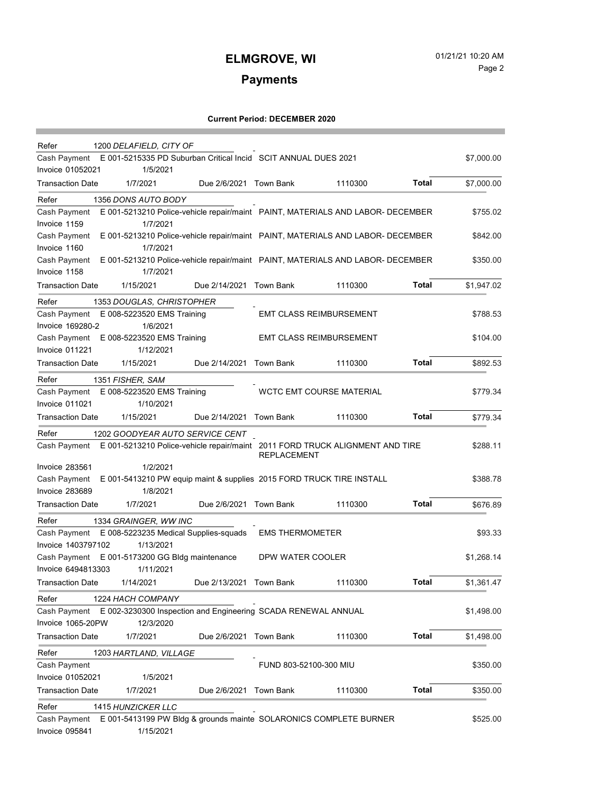## **ELMGROVE, WI** 01/21/21 10:20 AM Page 2

# **Payments**

| Refer<br>1200 DELAFIELD, CITY OF                                                               |                         |                                 |              |            |
|------------------------------------------------------------------------------------------------|-------------------------|---------------------------------|--------------|------------|
| Cash Payment E 001-5215335 PD Suburban Critical Incid SCIT ANNUAL DUES 2021                    |                         |                                 |              | \$7,000.00 |
| <b>Invoice 01052021</b><br>1/5/2021                                                            |                         |                                 |              |            |
| <b>Transaction Date</b><br>1/7/2021                                                            | Due 2/6/2021 Town Bank  | 1110300                         | Total        | \$7,000.00 |
| 1356 DONS AUTO BODY<br>Refer                                                                   |                         |                                 |              |            |
| E 001-5213210 Police-vehicle repair/maint PAINT, MATERIALS AND LABOR- DECEMBER<br>Cash Payment |                         |                                 |              | \$755.02   |
| 1/7/2021<br>Invoice 1159                                                                       |                         |                                 |              |            |
| E 001-5213210 Police-vehicle repair/maint PAINT, MATERIALS AND LABOR- DECEMBER<br>Cash Payment |                         |                                 |              | \$842.00   |
| Invoice 1160<br>1/7/2021                                                                       |                         |                                 |              |            |
| E 001-5213210 Police-vehicle repair/maint PAINT, MATERIALS AND LABOR- DECEMBER<br>Cash Payment |                         |                                 |              | \$350.00   |
| Invoice 1158<br>1/7/2021                                                                       |                         |                                 |              |            |
| <b>Transaction Date</b><br>1/15/2021                                                           | Due 2/14/2021 Town Bank | 1110300                         | <b>Total</b> | \$1,947.02 |
| 1353 DOUGLAS, CHRISTOPHER<br>Refer                                                             |                         |                                 |              |            |
| Cash Payment E 008-5223520 EMS Training                                                        |                         | <b>EMT CLASS REIMBURSEMENT</b>  |              | \$788.53   |
| 1/6/2021<br>Invoice 169280-2                                                                   |                         |                                 |              |            |
| Cash Payment E 008-5223520 EMS Training                                                        |                         | <b>EMT CLASS REIMBURSEMENT</b>  |              | \$104.00   |
| Invoice 011221<br>1/12/2021                                                                    |                         |                                 |              |            |
| <b>Transaction Date</b><br>1/15/2021                                                           | Due 2/14/2021 Town Bank | 1110300                         | <b>Total</b> | \$892.53   |
| Refer<br>1351 FISHER, SAM                                                                      |                         |                                 |              |            |
| Cash Payment E 008-5223520 EMS Training                                                        |                         | <b>WCTC EMT COURSE MATERIAL</b> |              | \$779.34   |
| Invoice 011021<br>1/10/2021                                                                    |                         |                                 |              |            |
| 1/15/2021<br><b>Transaction Date</b>                                                           | Due 2/14/2021 Town Bank | 1110300                         | <b>Total</b> | \$779.34   |
| Refer<br>1202 GOODYEAR AUTO SERVICE CENT                                                       |                         |                                 |              |            |
| Cash Payment E 001-5213210 Police-vehicle repair/maint 2011 FORD TRUCK ALIGNMENT AND TIRE      | <b>REPLACEMENT</b>      |                                 |              | \$288.11   |
| Invoice 283561<br>1/2/2021                                                                     |                         |                                 |              |            |
| E 001-5413210 PW equip maint & supplies 2015 FORD TRUCK TIRE INSTALL<br>Cash Payment           |                         |                                 |              | \$388.78   |
| Invoice 283689<br>1/8/2021                                                                     |                         |                                 |              |            |
| <b>Transaction Date</b><br>1/7/2021                                                            | Due 2/6/2021 Town Bank  | 1110300                         | Total        | \$676.89   |
| Refer<br>1334 GRAINGER, WW INC                                                                 |                         |                                 |              |            |
| Cash Payment E 008-5223235 Medical Supplies-squads                                             | <b>EMS THERMOMETER</b>  |                                 |              | \$93.33    |
| Invoice 1403797102<br>1/13/2021                                                                |                         |                                 |              |            |
| Cash Payment E 001-5173200 GG Bldg maintenance                                                 | DPW WATER COOLER        |                                 |              | \$1,268.14 |
| Invoice 6494813303<br>1/11/2021                                                                |                         |                                 |              |            |
| 1/14/2021<br><b>Transaction Date</b>                                                           | Due 2/13/2021 Town Bank | 1110300                         | Total        | \$1,361.47 |
| Refer<br>1224 HACH COMPANY                                                                     |                         |                                 |              |            |
| Cash Payment<br>E 002-3230300 Inspection and Engineering SCADA RENEWAL ANNUAL                  |                         |                                 |              | \$1,498.00 |
| Invoice 1065-20PW<br>12/3/2020                                                                 |                         |                                 |              |            |
| <b>Transaction Date</b><br>1/7/2021                                                            | Due 2/6/2021 Town Bank  | 1110300                         | <b>Total</b> | \$1,498.00 |
| Refer<br>1203 HARTLAND, VILLAGE                                                                |                         |                                 |              |            |
| Cash Payment                                                                                   | FUND 803-52100-300 MIU  |                                 |              | \$350.00   |
| Invoice 01052021<br>1/5/2021                                                                   |                         |                                 |              |            |
| <b>Transaction Date</b><br>1/7/2021                                                            | Due 2/6/2021 Town Bank  | 1110300                         | <b>Total</b> | \$350.00   |
| Refer<br><b>1415 HUNZICKER LLC</b>                                                             |                         |                                 |              |            |
| E 001-5413199 PW Bldg & grounds mainte SOLARONICS COMPLETE BURNER<br>Cash Payment              |                         |                                 |              | \$525.00   |
| Invoice 095841<br>1/15/2021                                                                    |                         |                                 |              |            |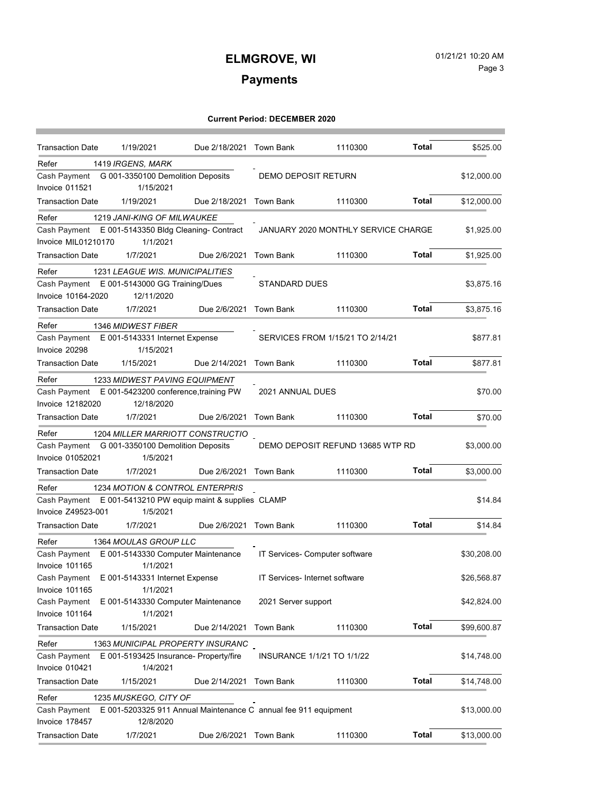## **ELMGROVE, WI** 01/21/21 10:20 AM Page 3

ı

# **Payments**

| <b>Transaction Date</b>                                                         | 1/19/2021                              | Due 2/18/2021 Town Bank |                                   | 1110300                             | Total        | \$525.00    |
|---------------------------------------------------------------------------------|----------------------------------------|-------------------------|-----------------------------------|-------------------------------------|--------------|-------------|
| Refer                                                                           | 1419 IRGENS, MARK                      |                         |                                   |                                     |              |             |
| Cash Payment G 001-3350100 Demolition Deposits                                  |                                        |                         | DEMO DEPOSIT RETURN               |                                     |              | \$12,000.00 |
| Invoice 011521                                                                  | 1/15/2021                              |                         |                                   |                                     |              |             |
| <b>Transaction Date</b>                                                         | 1/19/2021                              | Due 2/18/2021           | Town Bank                         | 1110300                             | <b>Total</b> | \$12,000.00 |
| Refer                                                                           | 1219 JANI-KING OF MILWAUKEE            |                         |                                   |                                     |              |             |
| Cash Payment E 001-5143350 Bldg Cleaning- Contract                              |                                        |                         |                                   | JANUARY 2020 MONTHLY SERVICE CHARGE |              | \$1,925.00  |
| Invoice MIL01210170                                                             | 1/1/2021                               |                         |                                   |                                     |              |             |
| <b>Transaction Date</b>                                                         | 1/7/2021                               | Due 2/6/2021            | Town Bank                         | 1110300                             | Total        | \$1,925.00  |
| Refer                                                                           | 1231 LEAGUE WIS. MUNICIPALITIES        |                         |                                   |                                     |              |             |
| Cash Payment E 001-5143000 GG Training/Dues                                     |                                        |                         | <b>STANDARD DUES</b>              |                                     |              | \$3,875.16  |
| Invoice 10164-2020                                                              | 12/11/2020                             |                         |                                   |                                     |              |             |
| <b>Transaction Date</b>                                                         | 1/7/2021                               | Due 2/6/2021 Town Bank  |                                   | 1110300                             | Total        | \$3,875.16  |
| Refer                                                                           | 1346 MIDWEST FIBER                     |                         |                                   |                                     |              |             |
| Cash Payment E 001-5143331 Internet Expense                                     |                                        |                         | SERVICES FROM 1/15/21 TO 2/14/21  |                                     |              | \$877.81    |
| Invoice 20298                                                                   | 1/15/2021                              |                         |                                   |                                     |              |             |
| <b>Transaction Date</b>                                                         | 1/15/2021                              | Due 2/14/2021 Town Bank |                                   | 1110300                             | Total        | \$877.81    |
| Refer                                                                           | 1233 MIDWEST PAVING EQUIPMENT          |                         |                                   |                                     |              |             |
| Cash Payment E 001-5423200 conference, training PW                              |                                        |                         | 2021 ANNUAL DUES                  |                                     |              | \$70.00     |
| Invoice 12182020                                                                | 12/18/2020                             |                         |                                   |                                     |              |             |
| <b>Transaction Date</b>                                                         | 1/7/2021                               | Due 2/6/2021 Town Bank  |                                   | 1110300                             | <b>Total</b> | \$70.00     |
| Refer                                                                           | 1204 MILLER MARRIOTT CONSTRUCTIO       |                         |                                   |                                     |              |             |
| Cash Payment G 001-3350100 Demolition Deposits                                  |                                        |                         |                                   | DEMO DEPOSIT REFUND 13685 WTP RD    |              | \$3,000.00  |
| <b>Invoice 01052021</b>                                                         | 1/5/2021                               |                         |                                   |                                     |              |             |
| <b>Transaction Date</b>                                                         | 1/7/2021                               | Due 2/6/2021 Town Bank  |                                   | 1110300                             | Total        | \$3,000.00  |
| Refer                                                                           | 1234 MOTION & CONTROL ENTERPRIS        |                         |                                   |                                     |              |             |
| Cash Payment E 001-5413210 PW equip maint & supplies CLAMP                      |                                        |                         |                                   |                                     |              | \$14.84     |
| Invoice Z49523-001                                                              | 1/5/2021                               |                         |                                   |                                     |              |             |
| <b>Transaction Date</b>                                                         | 1/7/2021                               | Due 2/6/2021 Town Bank  |                                   | 1110300                             | Total        | \$14.84     |
| Refer                                                                           | 1364 MOULAS GROUP LLC                  |                         |                                   |                                     |              |             |
| Cash Payment                                                                    | E 001-5143330 Computer Maintenance     |                         | IT Services- Computer software    |                                     |              | \$30,208.00 |
| Invoice 101165                                                                  | 1/1/2021                               |                         |                                   |                                     |              |             |
| Cash Payment E 001-5143331 Internet Expense                                     |                                        |                         | IT Services- Internet software    |                                     |              | \$26,568.87 |
| Invoice 101165                                                                  | 1/1/2021                               |                         |                                   |                                     |              |             |
| Cash Payment                                                                    | E 001-5143330 Computer Maintenance     |                         | 2021 Server support               |                                     |              | \$42,824.00 |
| Invoice 101164                                                                  | 1/1/2021                               |                         |                                   |                                     |              |             |
| <b>Transaction Date</b>                                                         | 1/15/2021                              | Due 2/14/2021           | Town Bank                         | 1110300                             | <b>Total</b> | \$99,600.87 |
| Refer                                                                           | 1363 MUNICIPAL PROPERTY INSURANC       |                         |                                   |                                     |              |             |
| Cash Payment                                                                    | E 001-5193425 Insurance- Property/fire |                         | <b>INSURANCE 1/1/21 TO 1/1/22</b> |                                     |              | \$14,748.00 |
| Invoice 010421                                                                  | 1/4/2021                               |                         |                                   |                                     |              |             |
| <b>Transaction Date</b>                                                         | 1/15/2021                              | Due 2/14/2021 Town Bank |                                   | 1110300                             | Total        | \$14,748.00 |
| Refer                                                                           | 1235 MUSKEGO, CITY OF                  |                         |                                   |                                     |              |             |
| E 001-5203325 911 Annual Maintenance C annual fee 911 equipment<br>Cash Payment |                                        |                         |                                   |                                     |              | \$13,000.00 |
| Invoice 178457                                                                  | 12/8/2020                              |                         |                                   |                                     |              |             |
| <b>Transaction Date</b>                                                         | 1/7/2021                               | Due 2/6/2021 Town Bank  |                                   | 1110300                             | <b>Total</b> | \$13,000.00 |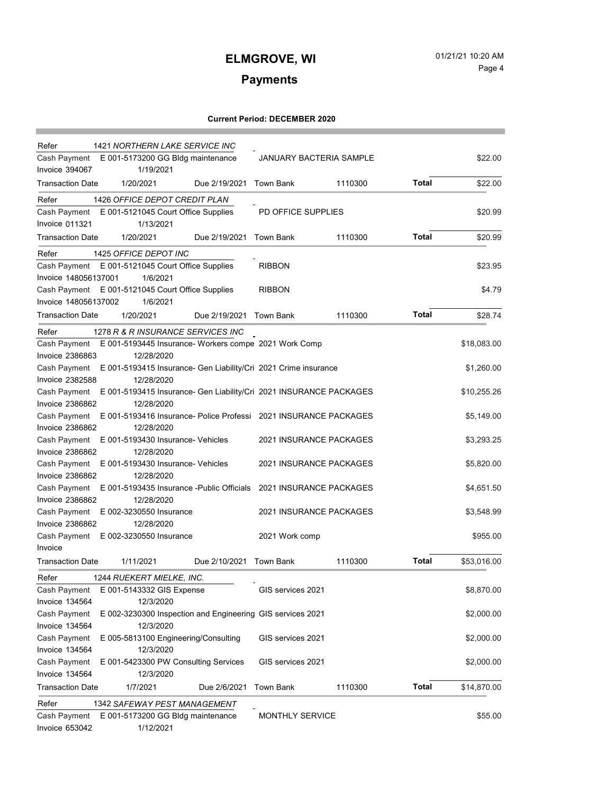## **ELMGROVE, WI** 01/21/21 10:20 AM Page 4

۰

# **Payments**

| Refer<br>1421 NORTHERN LAKE SERVICE INC<br>Cash Payment E 001-5173200 GG Bldg maintenance |                                                                               | <b>JANUARY BACTERIA SAMPLE</b> |                         |         | \$22.00      |             |
|-------------------------------------------------------------------------------------------|-------------------------------------------------------------------------------|--------------------------------|-------------------------|---------|--------------|-------------|
| Invoice 394067                                                                            | 1/19/2021                                                                     |                                |                         |         |              |             |
| <b>Transaction Date</b>                                                                   | 1/20/2021                                                                     | Due 2/19/2021 Town Bank        |                         | 1110300 | Total        | \$22.00     |
|                                                                                           |                                                                               |                                |                         |         |              |             |
| Refer                                                                                     | 1426 OFFICE DEPOT CREDIT PLAN                                                 |                                |                         |         |              |             |
|                                                                                           | Cash Payment E 001-5121045 Court Office Supplies                              |                                | PD OFFICE SUPPLIES      |         |              | \$20.99     |
| Invoice 011321                                                                            | 1/13/2021                                                                     |                                |                         |         |              |             |
| <b>Transaction Date</b>                                                                   | 1/20/2021                                                                     | Due 2/19/2021                  | Town Bank               | 1110300 | Total        | \$20.99     |
| Refer                                                                                     | 1425 OFFICE DEPOT INC                                                         |                                |                         |         |              |             |
|                                                                                           | Cash Payment E 001-5121045 Court Office Supplies                              |                                | <b>RIBBON</b>           |         |              | \$23.95     |
| Invoice 148056137001                                                                      | 1/6/2021                                                                      |                                |                         |         |              |             |
|                                                                                           | Cash Payment E 001-5121045 Court Office Supplies                              |                                | <b>RIBBON</b>           |         |              | \$4.79      |
| Invoice 148056137002                                                                      | 1/6/2021                                                                      |                                |                         |         |              |             |
| <b>Transaction Date</b>                                                                   | 1/20/2021                                                                     | Due 2/19/2021 Town Bank        |                         | 1110300 | Total        | \$28.74     |
| Refer                                                                                     | 1278 R & R INSURANCE SERVICES INC                                             |                                |                         |         |              |             |
| Cash Payment                                                                              | E 001-5193445 Insurance- Workers compe 2021 Work Comp                         |                                |                         |         |              | \$18,083.00 |
| <b>Invoice 2386863</b>                                                                    | 12/28/2020                                                                    |                                |                         |         |              |             |
| Cash Payment                                                                              | E 001-5193415 Insurance- Gen Liability/Cri 2021 Crime insurance               |                                |                         |         |              | \$1,260.00  |
| <b>Invoice 2382588</b>                                                                    | 12/28/2020                                                                    |                                |                         |         |              |             |
| Cash Payment                                                                              | E 001-5193415 Insurance- Gen Liability/Cri 2021 INSURANCE PACKAGES            |                                |                         |         |              | \$10,255.26 |
| <b>Invoice 2386862</b>                                                                    | 12/28/2020                                                                    |                                |                         |         |              |             |
|                                                                                           | Cash Payment E 001-5193416 Insurance- Police Professi 2021 INSURANCE PACKAGES |                                |                         |         |              | \$5,149.00  |
| <b>Invoice 2386862</b>                                                                    | 12/28/2020                                                                    |                                |                         |         |              |             |
|                                                                                           | Cash Payment E 001-5193430 Insurance- Vehicles                                |                                | 2021 INSURANCE PACKAGES |         |              | \$3,293.25  |
| <b>Invoice 2386862</b>                                                                    | 12/28/2020                                                                    |                                |                         |         |              |             |
|                                                                                           | Cash Payment E 001-5193430 Insurance- Vehicles                                |                                | 2021 INSURANCE PACKAGES |         |              | \$5,820.00  |
| <b>Invoice 2386862</b>                                                                    | 12/28/2020                                                                    |                                |                         |         |              |             |
| Cash Payment                                                                              | E 001-5193435 Insurance - Public Officials 2021 INSURANCE PACKAGES            |                                |                         |         |              | \$4,651.50  |
| <b>Invoice 2386862</b>                                                                    | 12/28/2020                                                                    |                                |                         |         |              |             |
| Cash Payment                                                                              | E 002-3230550 Insurance                                                       |                                | 2021 INSURANCE PACKAGES |         |              | \$3,548.99  |
| <b>Invoice 2386862</b>                                                                    | 12/28/2020                                                                    |                                |                         |         |              |             |
|                                                                                           | Cash Payment E 002-3230550 Insurance                                          |                                | 2021 Work comp          |         |              | \$955.00    |
| Invoice                                                                                   |                                                                               |                                |                         |         |              |             |
| <b>Transaction Date</b>                                                                   | 1/11/2021                                                                     | Due 2/10/2021 Town Bank        |                         | 1110300 | Total        | \$53,016.00 |
|                                                                                           |                                                                               |                                |                         |         |              |             |
| Refer                                                                                     | 1244 RUEKERT MIELKE, INC.                                                     |                                |                         |         |              |             |
| Cash Payment                                                                              | E 001-5143332 GIS Expense                                                     |                                | GIS services 2021       |         |              | \$8,870.00  |
| Invoice 134564                                                                            | 12/3/2020                                                                     |                                |                         |         |              |             |
| Cash Payment                                                                              | E 002-3230300 Inspection and Engineering GIS services 2021                    |                                |                         |         |              | \$2,000.00  |
| Invoice 134564                                                                            | 12/3/2020                                                                     |                                |                         |         |              |             |
| Cash Payment                                                                              | E 005-5813100 Engineering/Consulting                                          |                                | GIS services 2021       |         |              | \$2,000.00  |
| Invoice 134564                                                                            | 12/3/2020                                                                     |                                |                         |         |              |             |
| Cash Payment                                                                              | E 001-5423300 PW Consulting Services                                          |                                | GIS services 2021       |         |              | \$2,000.00  |
| Invoice 134564                                                                            | 12/3/2020                                                                     |                                |                         |         |              |             |
| <b>Transaction Date</b>                                                                   | 1/7/2021                                                                      | Due 2/6/2021                   | <b>Town Bank</b>        | 1110300 | <b>Total</b> | \$14,870.00 |
| Refer                                                                                     | 1342 SAFEWAY PEST MANAGEMENT                                                  |                                |                         |         |              |             |
| Cash Payment                                                                              | E 001-5173200 GG Bldg maintenance                                             |                                | <b>MONTHLY SERVICE</b>  |         |              | \$55.00     |
| Invoice 653042                                                                            | 1/12/2021                                                                     |                                |                         |         |              |             |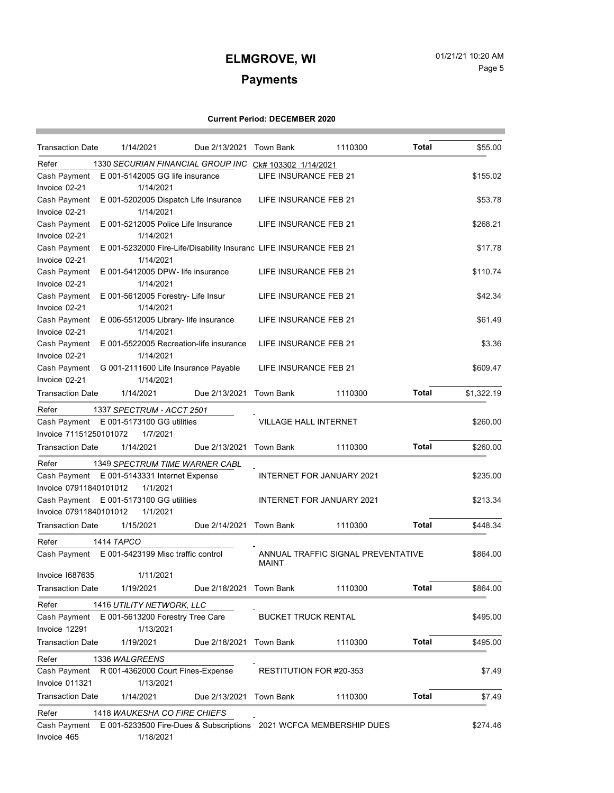a sa kacamatan ing Kabupatèn Kabupatèn Kabupatèn Kabupatèn Kabupatèn Kabupatèn Kabupatèn Kabupatèn Kabupatèn K

# **Payments**

## **Current Period: DECEMBER 2020**

a sa kacamatan ing Kabupatèn Kabupatèn Ing

| <b>Transaction Date</b>                                              | 1/14/2021                                                          | Due 2/13/2021 Town Bank |                              | 1110300                            | Total        | \$55.00    |
|----------------------------------------------------------------------|--------------------------------------------------------------------|-------------------------|------------------------------|------------------------------------|--------------|------------|
| Refer                                                                | 1330 SECURIAN FINANCIAL GROUP INC CK# 103302 1/14/2021             |                         |                              |                                    |              |            |
| Cash Payment                                                         | E 001-5142005 GG life insurance                                    |                         | LIFE INSURANCE FEB 21        |                                    |              | \$155.02   |
| Invoice 02-21                                                        | 1/14/2021                                                          |                         |                              |                                    |              |            |
| Cash Payment                                                         | E 001-5202005 Dispatch Life Insurance                              |                         | LIFE INSURANCE FEB 21        |                                    |              | \$53.78    |
| Invoice 02-21                                                        | 1/14/2021                                                          |                         |                              |                                    |              |            |
| Cash Payment                                                         | E 001-5212005 Police Life Insurance                                |                         | LIFE INSURANCE FEB 21        |                                    |              | \$268.21   |
| Invoice 02-21                                                        | 1/14/2021                                                          |                         |                              |                                    |              |            |
| Cash Payment                                                         | E 001-5232000 Fire-Life/Disability Insuranc LIFE INSURANCE FEB 21  |                         |                              |                                    |              | \$17.78    |
| Invoice 02-21                                                        | 1/14/2021                                                          |                         |                              |                                    |              |            |
| Cash Payment                                                         | E 001-5412005 DPW- life insurance                                  |                         | LIFE INSURANCE FEB 21        |                                    |              | \$110.74   |
| Invoice 02-21                                                        | 1/14/2021                                                          |                         |                              |                                    |              |            |
| Cash Payment                                                         | E 001-5612005 Forestry- Life Insur                                 |                         | LIFE INSURANCE FEB 21        |                                    |              | \$42.34    |
| Invoice 02-21                                                        | 1/14/2021                                                          |                         |                              |                                    |              |            |
| Cash Payment                                                         | E 006-5512005 Library- life insurance                              |                         | LIFE INSURANCE FEB 21        |                                    |              | \$61.49    |
| Invoice 02-21                                                        | 1/14/2021                                                          |                         |                              |                                    |              |            |
| Cash Payment                                                         | E 001-5522005 Recreation-life insurance                            |                         | LIFE INSURANCE FEB 21        |                                    |              | \$3.36     |
| Invoice 02-21                                                        | 1/14/2021                                                          |                         |                              |                                    |              |            |
| Cash Payment                                                         | G 001-2111600 Life Insurance Payable                               |                         | LIFE INSURANCE FEB 21        |                                    |              | \$609.47   |
| Invoice 02-21                                                        | 1/14/2021                                                          |                         |                              |                                    |              |            |
| <b>Transaction Date</b>                                              | 1/14/2021                                                          | Due 2/13/2021           | Town Bank                    | 1110300                            | Total        | \$1,322.19 |
| Refer                                                                | 1337 SPECTRUM - ACCT 2501                                          |                         |                              |                                    |              |            |
|                                                                      | Cash Payment E 001-5173100 GG utilities                            |                         | <b>VILLAGE HALL INTERNET</b> |                                    |              | \$260.00   |
| Invoice 71151250101072                                               | 1/7/2021                                                           |                         |                              |                                    |              |            |
| <b>Transaction Date</b>                                              | 1/14/2021                                                          | Due 2/13/2021           | Town Bank                    | 1110300                            | Total        | \$260.00   |
| Refer                                                                | 1349 SPECTRUM TIME WARNER CABL                                     |                         |                              |                                    |              |            |
|                                                                      | Cash Payment E 001-5143331 Internet Expense                        |                         |                              | INTERNET FOR JANUARY 2021          |              | \$235.00   |
| Invoice 07911840101012                                               | 1/1/2021                                                           |                         |                              |                                    |              |            |
| Cash Payment E 001-5173100 GG utilities<br>INTERNET FOR JANUARY 2021 |                                                                    |                         |                              |                                    |              | \$213.34   |
| Invoice 07911840101012                                               | 1/1/2021                                                           |                         |                              |                                    |              |            |
| <b>Transaction Date</b>                                              | 1/15/2021                                                          | Due 2/14/2021 Town Bank |                              | 1110300                            | Total        | \$448.34   |
| Refer                                                                | 1414 TAPCO                                                         |                         |                              |                                    |              |            |
| Cash Payment                                                         | E 001-5423199 Misc traffic control                                 |                         | <b>MAINT</b>                 | ANNUAL TRAFFIC SIGNAL PREVENTATIVE |              | \$864.00   |
| <b>Invoice 1687635</b>                                               | 1/11/2021                                                          |                         |                              |                                    |              |            |
| <b>Transaction Date</b>                                              | 1/19/2021                                                          | Due 2/18/2021 Town Bank |                              | 1110300                            | <b>Total</b> | \$864.00   |
| Refer                                                                | 1416 UTILITY NETWORK, LLC                                          |                         |                              |                                    |              |            |
| Cash Payment                                                         | E 001-5613200 Forestry Tree Care                                   |                         | <b>BUCKET TRUCK RENTAL</b>   |                                    |              | \$495.00   |
| Invoice 12291                                                        | 1/13/2021                                                          |                         |                              |                                    |              |            |
| <b>Transaction Date</b>                                              | 1/19/2021                                                          | Due 2/18/2021           | Town Bank                    | 1110300                            | <b>Total</b> | \$495.00   |
| Refer                                                                | 1336 WALGREENS                                                     |                         |                              |                                    |              |            |
| Cash Payment                                                         | R 001-4362000 Court Fines-Expense                                  |                         | RESTITUTION FOR #20-353      |                                    |              | \$7.49     |
| Invoice 011321                                                       | 1/13/2021                                                          |                         |                              |                                    |              |            |
| <b>Transaction Date</b>                                              | 1/14/2021                                                          | Due 2/13/2021           | Town Bank                    | 1110300                            | <b>Total</b> | \$7.49     |
|                                                                      |                                                                    |                         |                              |                                    |              |            |
| Refer                                                                | 1418 WAUKESHA CO FIRE CHIEFS                                       |                         |                              |                                    |              |            |
| Cash Payment                                                         | E 001-5233500 Fire-Dues & Subscriptions 2021 WCFCA MEMBERSHIP DUES |                         |                              |                                    |              | \$274.46   |
| Invoice 465                                                          | 1/18/2021                                                          |                         |                              |                                    |              |            |